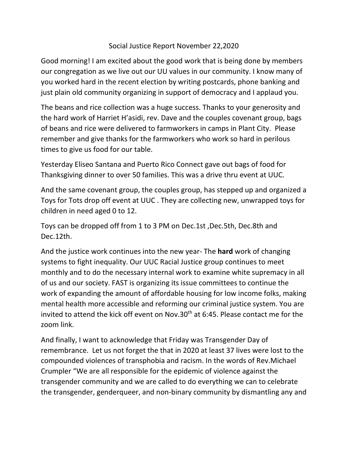## Social Justice Report November 22,2020

Good morning! I am excited about the good work that is being done by members our congregation as we live out our UU values in our community. I know many of you worked hard in the recent election by writing postcards, phone banking and just plain old community organizing in support of democracy and I applaud you.

The beans and rice collection was a huge success. Thanks to your generosity and the hard work of Harriet H'asidi, rev. Dave and the couples covenant group, bags of beans and rice were delivered to farmworkers in camps in Plant City. Please remember and give thanks for the farmworkers who work so hard in perilous times to give us food for our table.

Yesterday Eliseo Santana and Puerto Rico Connect gave out bags of food for Thanksgiving dinner to over 50 families. This was a drive thru event at UUC.

And the same covenant group, the couples group, has stepped up and organized a Toys for Tots drop off event at UUC . They are collecting new, unwrapped toys for children in need aged 0 to 12.

Toys can be dropped off from 1 to 3 PM on Dec.1st ,Dec.5th, Dec.8th and Dec.12th.

And the justice work continues into the new year- The **hard** work of changing systems to fight inequality. Our UUC Racial Justice group continues to meet monthly and to do the necessary internal work to examine white supremacy in all of us and our society. FAST is organizing its issue committees to continue the work of expanding the amount of affordable housing for low income folks, making mental health more accessible and reforming our criminal justice system. You are invited to attend the kick off event on Nov.30<sup>th</sup> at 6:45. Please contact me for the zoom link.

And finally, I want to acknowledge that Friday was Transgender Day of remembrance. Let us not forget the that in 2020 at least 37 lives were lost to the compounded violences of transphobia and racism. In the words of Rev.Michael Crumpler "We are all responsible for the epidemic of violence against the transgender community and we are called to do everything we can to celebrate the transgender, genderqueer, and non-binary community by dismantling any and